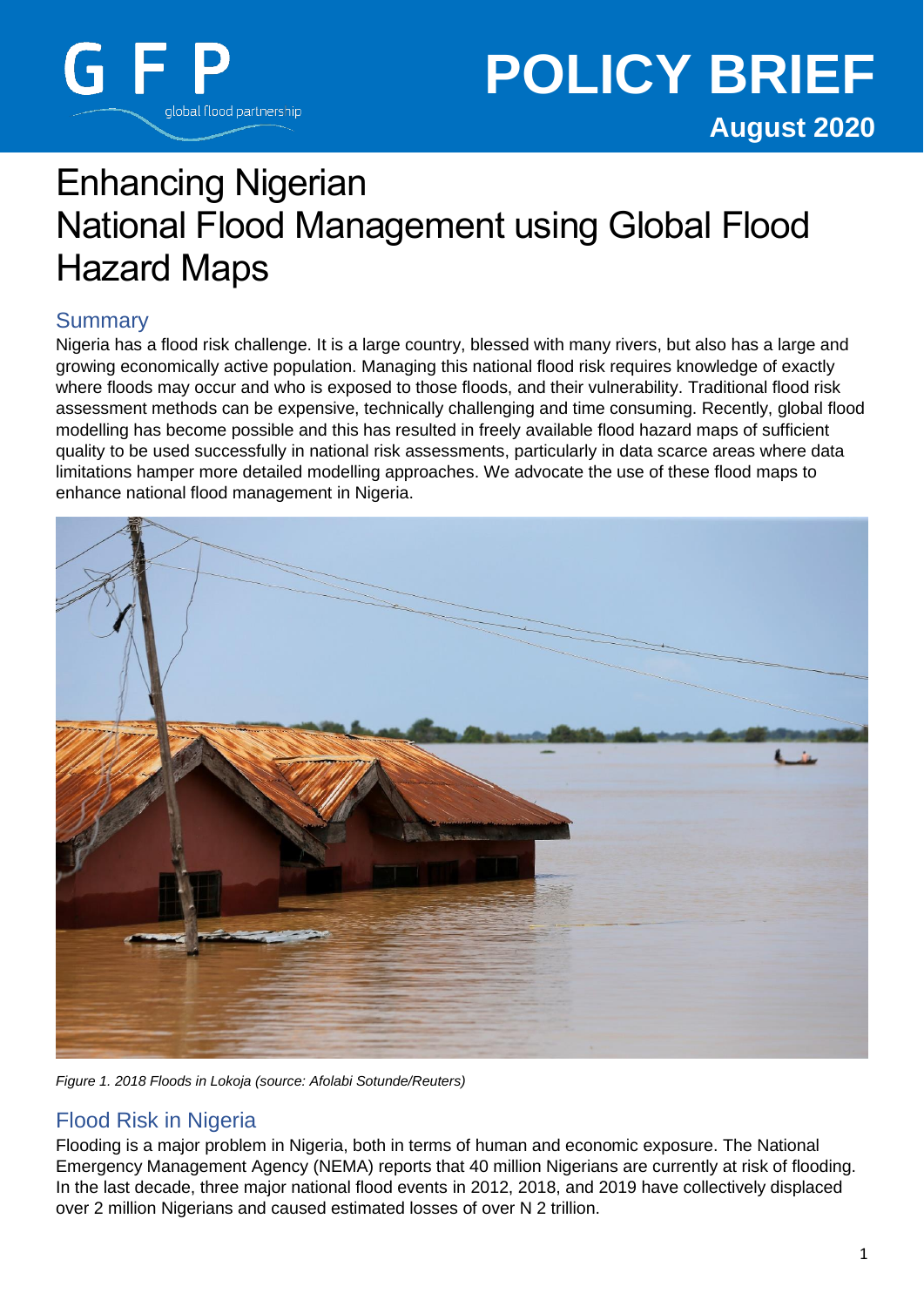

# Enhancing Nigerian National Flood Management using Global Flood Hazard Maps

# **Summary**

Nigeria has a flood risk challenge. It is a large country, blessed with many rivers, but also has a large and growing economically active population. Managing this national flood risk requires knowledge of exactly where floods may occur and who is exposed to those floods, and their vulnerability. Traditional flood risk assessment methods can be expensive, technically challenging and time consuming. Recently, global flood modelling has become possible and this has resulted in freely available flood hazard maps of sufficient quality to be used successfully in national risk assessments, particularly in data scarce areas where data limitations hamper more detailed modelling approaches. We advocate the use of these flood maps to enhance national flood management in Nigeria.



*Figure 1. 2018 Floods in Lokoja (source: Afolabi Sotunde/Reuters)*

## Flood Risk in Nigeria

Flooding is a major problem in Nigeria, both in terms of human and economic exposure. The National Emergency Management Agency (NEMA) reports that 40 million Nigerians are currently at risk of flooding. In the last decade, three major national flood events in 2012, 2018, and 2019 have collectively displaced over 2 million Nigerians and caused estimated losses of over N 2 trillion.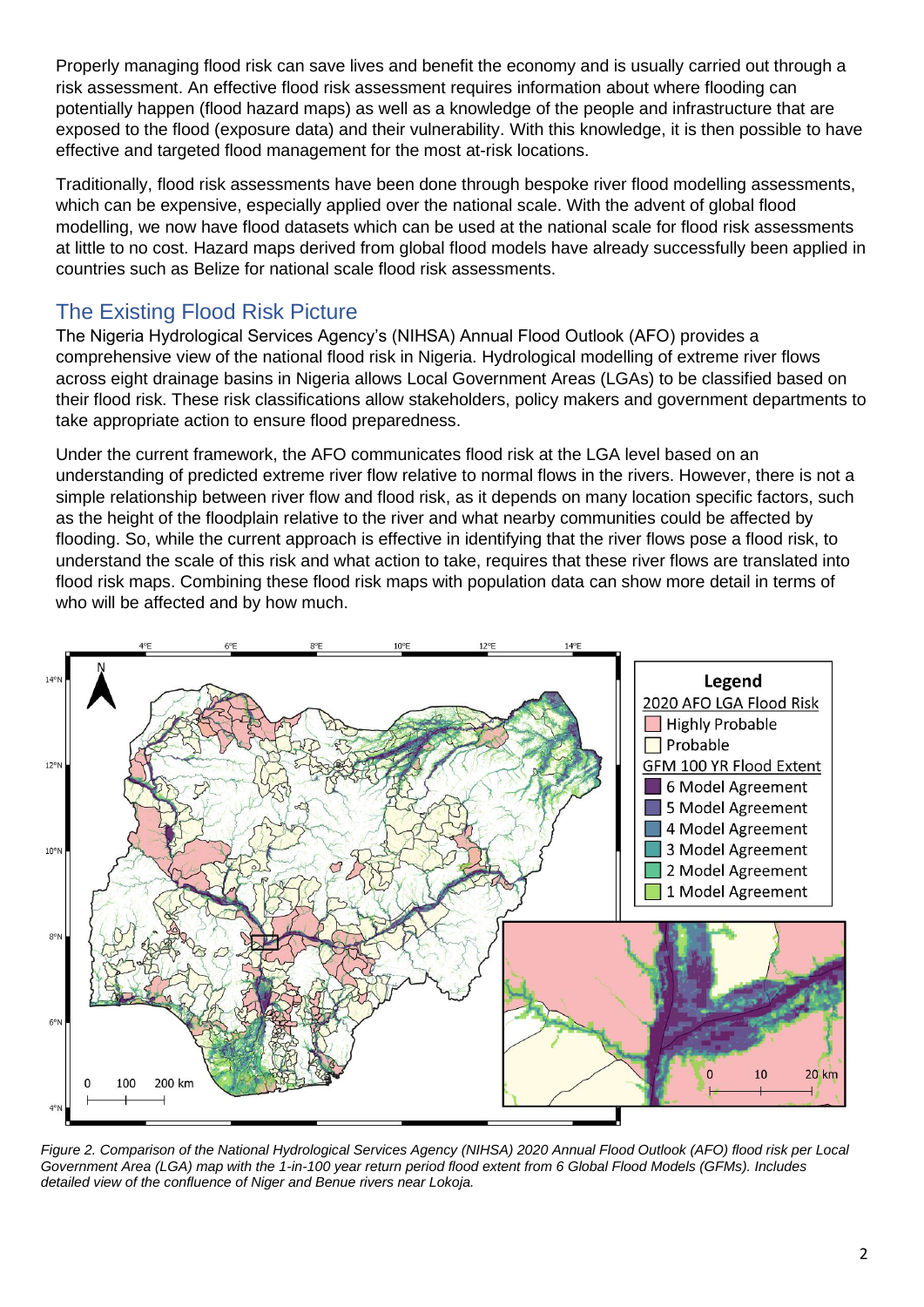Properly managing flood risk can save lives and benefit the economy and is usually carried out through a risk assessment. An effective flood risk assessment requires information about where flooding can potentially happen (flood hazard maps) as well as a knowledge of the people and infrastructure that are exposed to the flood (exposure data) and their vulnerability. With this knowledge, it is then possible to have effective and targeted flood management for the most at-risk locations.

Traditionally, flood risk assessments have been done through bespoke river flood modelling assessments, which can be expensive, especially applied over the national scale. With the advent of global flood modelling, we now have flood datasets which can be used at the national scale for flood risk assessments at little to no cost. Hazard maps derived from global flood models have already successfully been applied in countries such as Belize for national scale flood risk assessments.

# The Existing Flood Risk Picture

The Nigeria Hydrological Services Agency's (NIHSA) Annual Flood Outlook (AFO) provides a comprehensive view of the national flood risk in Nigeria. Hydrological modelling of extreme river flows across eight drainage basins in Nigeria allows Local Government Areas (LGAs) to be classified based on their flood risk. These risk classifications allow stakeholders, policy makers and government departments to take appropriate action to ensure flood preparedness.

Under the current framework, the AFO communicates flood risk at the LGA level based on an understanding of predicted extreme river flow relative to normal flows in the rivers. However, there is not a simple relationship between river flow and flood risk, as it depends on many location specific factors, such as the height of the floodplain relative to the river and what nearby communities could be affected by flooding. So, while the current approach is effective in identifying that the river flows pose a flood risk, to understand the scale of this risk and what action to take, requires that these river flows are translated into flood risk maps. Combining these flood risk maps with population data can show more detail in terms of who will be affected and by how much.



*Figure 2. Comparison of the National Hydrological Services Agency (NIHSA) 2020 Annual Flood Outlook (AFO) flood risk per Local Government Area (LGA) map with the 1-in-100 year return period flood extent from 6 Global Flood Models (GFMs). Includes detailed view of the confluence of Niger and Benue rivers near Lokoja.*